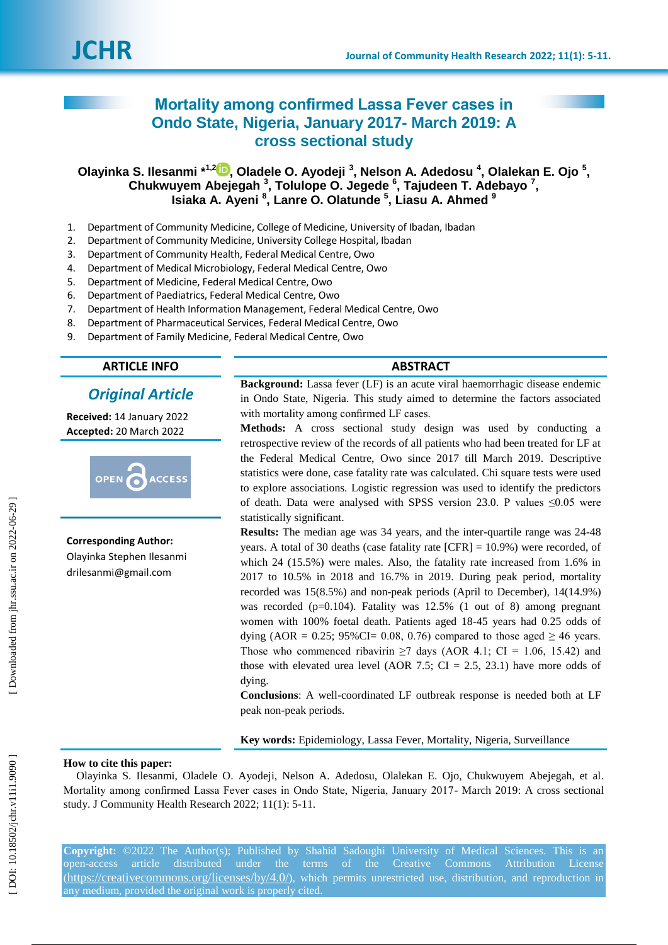# **Mortality among confirmed Lassa Fever cases in Ondo State, Nigeria, January 2017 - March 2019: A cross sectional study**

**Olayinka S. Ilesanmi \* 1,2 [,](https://orcid.org/0000-0003-0827-6442) Oladele O. Ayodeji 3 , Nelson A. Adedosu 4 , Olalekan E. Ojo 5 ,**  Chukwuyem Abejegah<sup>3</sup>, Tolulope O. Jegede<sup>6</sup>, Tajudeen T. Adebayo<sup>7</sup>, **Isiaka A. Ayeni 8 , Lanre O. Olatunde 5 , Liasu A. Ahmed 9**

- 1 . Department of Community Medicine, College of Medicine, University of Ibadan, Ibadan
- 2 . Department of Community Medicine, University College Hospital, Ibadan
- 3. . Department of Community Health, Federal Medical Centre, Owo
- 4 . Department of Medical Microbiology, Federal Medical Centre, Owo
- 5 . Department of Medicine, Federal Medical Centre, Owo
- 6 . Department of Paediatrics, Federal Medical Centre, Owo
- 7 . Department of Health Information Management, Federal Medical Centre, Owo
- 8 . Department of Pharmaceutical Services, Federal Medical Centre, Owo
- 9 . Department of Family Medicine, Federal Medical Centre, Owo

# **ARTICLE INFO ABSTRACT**

# *Original Article*

**Received:** 14 January 202 2 **Accepted:** 20 March 202 2



**Corresponding Author:** Olayinka Stephen Ilesanmi [drilesanmi@gmail.com](mailto:drilesanmi@gmail.com)

**Background:** Lassa fever (LF) is an acute viral haemorrhagic disease endemic in Ondo State, Nigeria. This study aimed to determine the factors associated with mortality among confirmed LF cases.

**Methods:** A cross sectional study design was used by conducting a retrospective review of the records of all patients who had been treated for LF at the Federal Medical Centre, Owo since 2017 till March 2019. Descriptive statistics were done, case fatality rate was calculated. Chi square tests were used to explore association s. Logistic regression was used to identify the predictors of death. Data were analysed with SPSS version 23.0. P values  $\leq 0.05$  were statistically significant.

Results: The median age was 34 years, and the inter-quartile range was 24-48 years. A total of 30 deaths (case fatality rate [CFR] = 10.9%) were recorded, of which 24 (15.5%) were males. Also, the fatality rate increased from 1.6% in 2017 to 10.5% in 2018 and 16.7% in 2019. During peak period, mortality recorded was 15(8.5%) and non -peak period s (April to December), 14(14.9%) was recorded (p=0.104). Fatality was 12.5% (1 out of 8) among pregnant women with 100% foetal death. Patients aged 18 -45 years had 0.25 odds of dying (AOR = 0.25; 95%CI= 0.08, 0.76) compared to those aged  $\geq$  46 years. Those who commenced ribavirin  $\geq$ 7 days (AOR 4.1; CI = 1.06, 15.42) and those with elevated urea level (AOR 7.5;  $CI = 2.5, 23.1$ ) have more odds of dying.

**Conclusions**: A well -coordinated LF outbreak response is needed both at LF peak non -peak periods.

**Key words:** Epidemiology, Lassa Fever, Mortality, Nigeria, Surveillance

## **How to cite this paper:**

Olayinka S. Ilesanmi, Oladele O. Ayodeji, Nelson A. Adedosu, Olalekan E. Ojo, Chukwuyem Abejegah, et al. Mortality among confirmed Lassa Fever cases in Ondo State, Nigeria, January 2017 - March 2019: A cross sectional study. J Community Health Research 2022; 11(1): 5-11.

**Copyright:** ©2022 The Author(s); Published by Shahid Sadoughi University of Medical Sciences. This is an open-access article distributed under the terms of the Creative Commons Attribution License (https://creativecommons.org/licenses/by/4.0/), which permits unrestricted use, distribution, and reproduction in any medium, provided the original work is properly cited.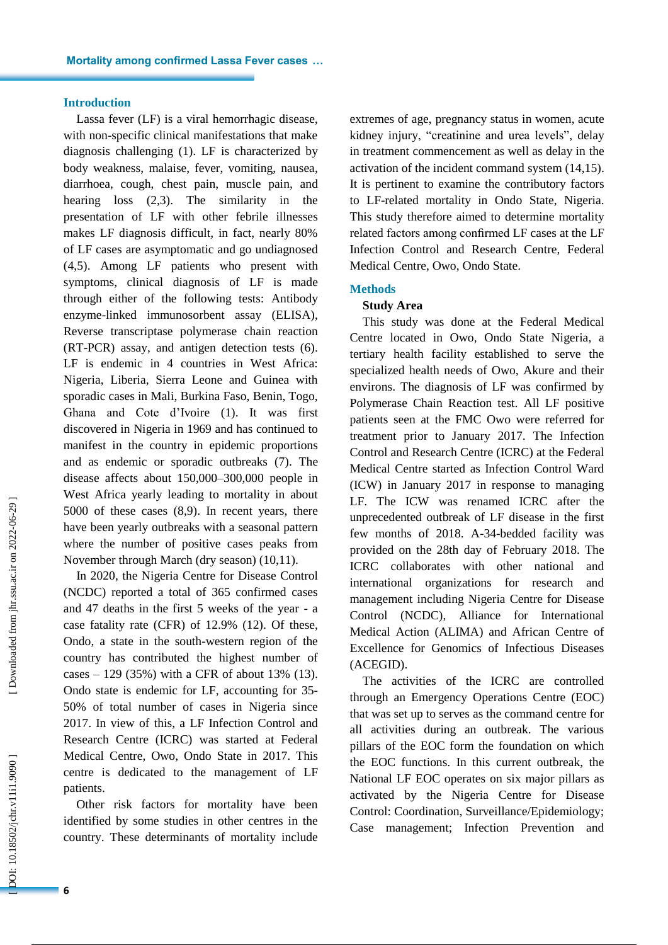#### **Introduction**

Lassa fever (LF) is a viral hemorrhagic disease, with non -specific clinical manifestations that make diagnosis challenging (1). LF is characterized by body weakness, malaise, fever, vomiting, nausea, diarrhoea, cough, chest pain, muscle pain, and hearing loss (2,3). The similarity in the presentation of LF with other febrile illnesses makes LF diagnosis difficult, in fact, nearly 80% of LF cases are asymptomatic and go undiagnosed (4,5). Among LF patients who present with symptoms, clinical diagnosis of LF is made through either of the following tests: Antibody enzyme -linked immunosorbent assay (ELISA), Reverse transcriptase polymerase chain reaction (RT -PCR) assay, and antigen detection tests (6). LF is endemic in 4 countries in West Africa: Nigeria, Liberia, Sierra Leone and Guinea with sporadic cases in Mali, Burkina Faso, Benin, Togo, Ghana and Cote d' Ivoir e ( 1 ). It was first discovered in Nigeria in 1969 and has continued to manifest in the country in epidemic proportions and as endemic or sporadic outbreaks ( 7 ). The disease affects about 150,000 –300,000 people in West Africa yearly leading to mortality in about 5000 of these cases (8,9 ) . In recent years, there have been yearly outbreaks with a seasonal pattern where the number of positive cases peaks from November through March (dry season) (10,11).

In 2020, the Nigeria Centre for Disease Control (NCDC) reported a total of 365 confirmed cases and 47 deaths in the first 5 weeks of the year - a case fatality rate (CFR) of 12.9% (12 ) . Of these, Ondo, a state in the south -western region of the country has contributed the highest number of cases – 129 ( 3 5%) with a CFR of about 13% (13). Ondo state is endemic for LF, accounting for 35 - 50% of total number of cases in Nigeria since 2017. In view of this, a LF Infection Control and Research Centre (ICRC) was started at Federal Medical Centre, Owo, Ondo State in 2017. This centre is dedicated to the management of LF patients .

Other risk factors for mortality have been identified by some studies in other centres in the country. These determinants of mortality include extremes of age, pregnancy status in women, acute kidney injury, "creatinine and urea levels", delay in treatment commencement as well as delay in the activation of the incident command system (14,15 ) . It is pertinent to examine the contributory factors to LF -related mortality in Ondo State, Nigeria. This study therefore aimed to determine mortality related factors among confirmed LF cases at the LF Infection Control and Research Centre, Federal Medical Centre, Owo, Ondo State.

#### **Method s**

## **Study Area**

This study was done at the Federal Medical Centre located in Owo, Ondo State Nigeria , a tertiary health facility established to serve the specialized health needs of Owo, Akure and their environs. The diagnosis of LF was confirmed by Polymerase Chain Reaction test. All LF positive patients seen at the FMC Owo were referred for treatment prior to January 2017. The Infection Control and Research Centre (ICRC) at the Federal Medical Centre started as Infection Control Ward (ICW) in January 2017 in response to managing LF. The ICW was renamed ICRC after the unprecedented outbreak of LF disease in the first few months of 2018. A -34 -bedded facility was provided on the 28th day of February 2018. The ICRC collaborates with other national and international organizations for research and management including Nigeria Centre for Disease Control (NCDC), Alliance for International Medical Action (ALIMA) and African Centre of Excellence for Genomics of Infectious Diseases (ACEGID).

The activities of the ICRC are controlled through an Emergency Operations Centre (EOC) that was set up to serves as the command centre for all activities during an outbreak. The various pillars of the EOC form the foundation on which the EOC functions. In this current outbreak, the National LF EOC operates on six major pillars as activated by the Nigeria Centre for Disease Control: Coordination, Surveillance/Epidemiology; Case management; Infection Prevention and

**6**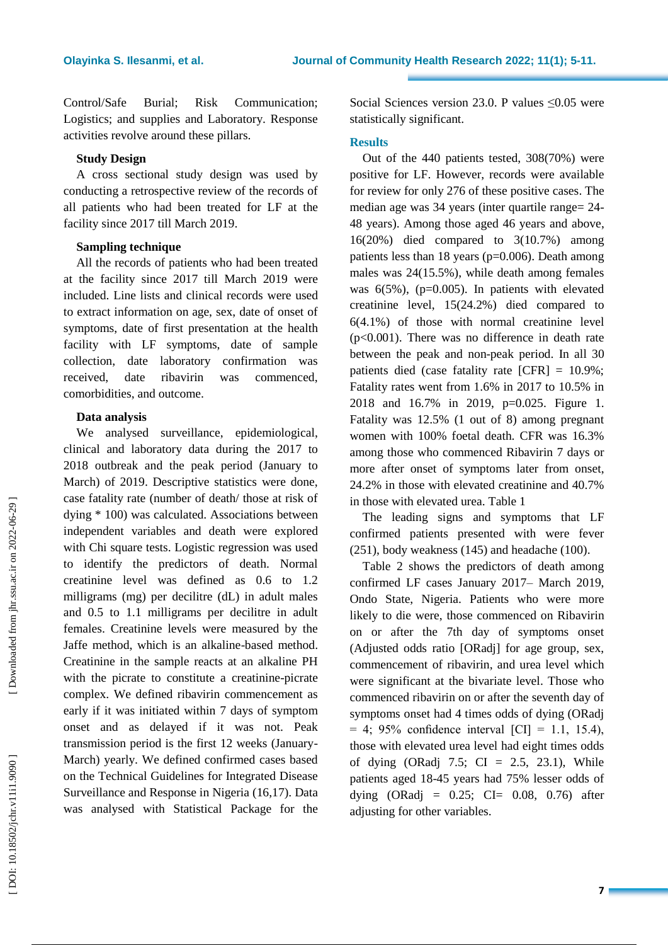Control/Safe Burial; Risk Communication; Logistics; and supplies and Laboratory. Response activities revolve around these pillars.

## **Study Design**

A cross sectional study design was used by conducting a retrospective review of the records of all patients who had been treated for L F at the facility since 2017 till March 2019.

# **Sampling technique**

All the records of patients who had been treated at the facility since 2017 till March 2019 were included . Line lists and clinical records were used to extract information on age, sex, date of onset of symptoms, date of first presentation at the health facility with LF symptoms, date of sample collection, date laboratory confirmation was received, date ribavirin was commenced, comorbidities, and outcome.

#### **Data analysis**

We analysed surveillance, epidemiological, clinical and laboratory data during the 2017 to 2018 outbreak and the peak period (January to March) of 2019. Descriptive statistics were done, case fatality rate (number of death/ those at risk of dying \* 100) was calculated. Association s between independent variables and death were explored with Chi square test s. Logistic regression was used to identify the predictors of death. Normal creatinine level was defined as 0.6 to 1.2 milligrams (mg) per decilitre (dL) in adult males and 0.5 to 1.1 milligrams per decilitre in adult females. Creatinine levels were measured by the Jaffe method, which is an alkaline -based method. Creatinine in the sample reacts at an alkaline PH with the picrate to constitute a creatinine-picrate complex. We defined ribavirin commencement as early if it was initiated within 7 days of symptom onset and as delayed if it was not. Peak transmission period is the first 12 weeks (January - March) yearly. We defined confirmed cases based on the Technical Guidelines for Integrated Disease Surveillance and Response in Nigeria (16,17). Data was analysed with Statistical Package for the

Social Sciences version 23.0. P values  $\leq 0.05$  were statistically significant.

#### **Results**

Out of the 440 patients tested, 308(70%) were positive for LF. However, records were available for review for only 276 of these positive cases. The median age was 34 years (inter quartile range= 24- 48 years ). Among those aged 46 years and above , 16(20%) died compared to 3(10.7% ) among patients less than 18 years (p=0.006). Death among males was 24(15.5%), while death among females was 6(5%) , (p=0.005). In patients with elevated creatinine level, 15(24.2%) died compared to 6(4.1%) of those with normal creatinine level  $(p<0.001)$ . There was no difference in death rate between the peak and non -peak period. In all 30 patients died (case fatality rate [CFR] = 10.9%; Fatality rates went from 1.6% in 2017 to 10.5% in 2018 and 16.7% in 20 19, p=0.025. Figure 1. Fatality was 12.5% (1 out of 8) among pregnant women with 100% foetal death. CFR was 16.3% among those who commenced Ribavirin 7 days or more after onset of symptoms later from onset, 24.2% in those with elevated creatinine and 40.7% in those with elevated urea. Table 1

The leading signs and symptoms that LF confirmed patients presented with were fever (251), body weakness (145) and headache (100).

Table 2 shows the predictors of death among confirmed LF cases January 2017 – March 2019, Ondo State, Nigeria. Patients who were more likely to die were, those commenced on Ribavirin on or after the 7th day of symptoms onset (Adjusted odds ratio [ORadj] for age group, sex, commencement of ribavirin, and urea level which were significant at the bivariate level. Those who commenced ribavirin on or after the seventh day of symptoms onset had 4 times odds of dying (ORadj  $= 4$ ; 95% confidence interval [CI]  $= 1.1, 15.4$ ), those with elevated urea level had eight times odds of dying  $(ORadj 7.5; CI = 2.5, 23.1)$ , While patients aged 18 -45 years had 75% lesser odds of dying  $(ORadi = 0.25; CI = 0.08, 0.76)$  after adjusting for other variables.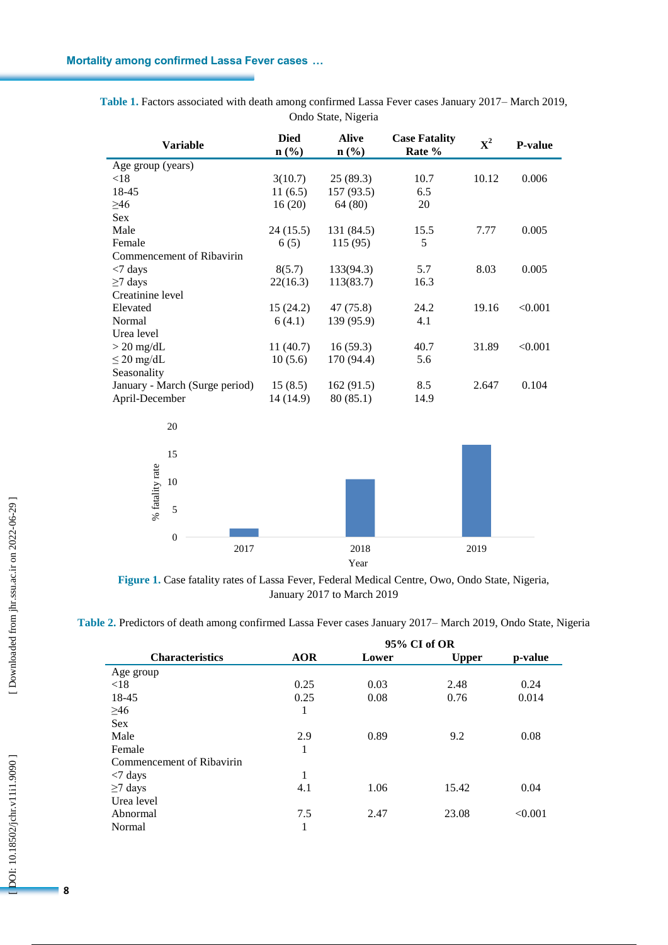| <b>Variable</b>                | <b>Died</b><br>$n$ (%) | <b>Alive</b><br>$n$ (%) | <b>Case Fatality</b><br>Rate % | ${\bf X}^2$ | <b>P-value</b> |
|--------------------------------|------------------------|-------------------------|--------------------------------|-------------|----------------|
| Age group (years)              |                        |                         |                                |             |                |
| < 18                           | 3(10.7)                | 25(89.3)                | 10.7                           | 10.12       | 0.006          |
| 18-45                          | 11(6.5)                | 157(93.5)               | 6.5                            |             |                |
| $\geq 46$                      | 16(20)                 | 64 (80)                 | 20                             |             |                |
| <b>Sex</b>                     |                        |                         |                                |             |                |
| Male                           | 24(15.5)               | 131 (84.5)              | 15.5                           | 7.77        | 0.005          |
| Female                         | 6(5)                   | 115(95)                 | 5                              |             |                |
| Commencement of Ribavirin      |                        |                         |                                |             |                |
| $<$ 7 days                     | 8(5.7)                 | 133(94.3)               | 5.7                            | 8.03        | 0.005          |
| $\geq$ 7 days                  | 22(16.3)               | 113(83.7)               | 16.3                           |             |                |
| Creatinine level               |                        |                         |                                |             |                |
| Elevated                       | 15(24.2)               | 47 (75.8)               | 24.2                           | 19.16       | < 0.001        |
| Normal                         | 6(4.1)                 | 139 (95.9)              | 4.1                            |             |                |
| Urea level                     |                        |                         |                                |             |                |
| $> 20$ mg/dL                   | 11(40.7)               | 16(59.3)                | 40.7                           | 31.89       | < 0.001        |
| $\leq$ 20 mg/dL                | 10(5.6)                | 170 (94.4)              | 5.6                            |             |                |
| Seasonality                    |                        |                         |                                |             |                |
| January - March (Surge period) | 15(8.5)                | 162(91.5)               | 8.5                            | 2.647       | 0.104          |
| April-December                 | 14 (14.9)              | 80 (85.1)               | 14.9                           |             |                |
| 20                             |                        |                         |                                |             |                |

Table 1. Factors associated with death among confirmed Lassa Fever cases January 2017–March 2019, Ondo State, Nigeria



**Figure 1 .** Case fatality rates of Lassa Fever, Federal Medical Centre, Owo, Ondo State, Nigeria, January 2017 to March 2019

**Table 2 .** Predictors of death among confirmed Lassa Fever cases January 2017 – March 2019, Ondo State, Nigeria

|                           | 95% CI of OR |       |              |         |  |  |
|---------------------------|--------------|-------|--------------|---------|--|--|
| <b>Characteristics</b>    | <b>AOR</b>   | Lower | <b>Upper</b> | p-value |  |  |
| Age group                 |              |       |              |         |  |  |
| <18                       | 0.25         | 0.03  | 2.48         | 0.24    |  |  |
| 18-45                     | 0.25         | 0.08  | 0.76         | 0.014   |  |  |
| $\geq 46$                 | 1            |       |              |         |  |  |
| <b>Sex</b>                |              |       |              |         |  |  |
| Male                      | 2.9          | 0.89  | 9.2          | 0.08    |  |  |
| Female                    | 1            |       |              |         |  |  |
| Commencement of Ribavirin |              |       |              |         |  |  |
| $\langle 7 \text{ days}$  | 1            |       |              |         |  |  |
| $\geq$ 7 days             | 4.1          | 1.06  | 15.42        | 0.04    |  |  |
| Urea level                |              |       |              |         |  |  |
| Abnormal                  | 7.5          | 2.47  | 23.08        | < 0.001 |  |  |
| Normal                    | 1            |       |              |         |  |  |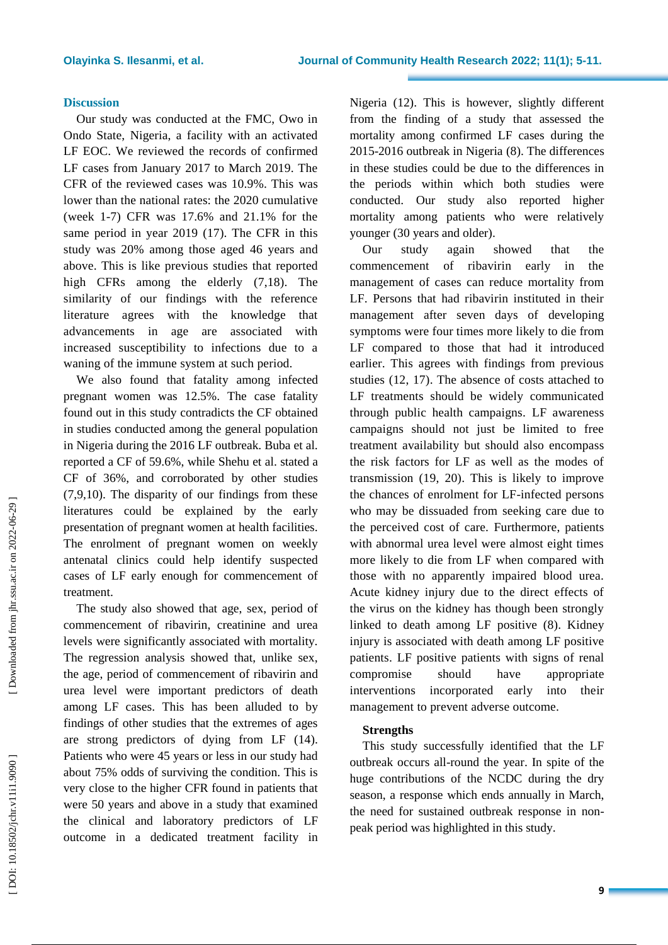#### **Discussion**

Our study was conducted at the FMC, Owo in Ondo State, Nigeria, a facility with an activated LF EOC. We reviewed the records of confirmed LF cases from January 2017 to March 2019. The CFR of the reviewed cases was 10.9%. This was lower than the national rates: the 2020 cumulative (week 1 -7) CFR was 17.6% and 21.1% for the same period in year 2019 (17). The CFR in this study was 20% among those aged 46 years and above . This is like previous studies that reported high CFRs among the elderly (7,18). The similarity of our findings with the reference literature agrees with the knowledge that advancements in age are associated with increased susceptibility to infections due to a waning of the immune system at such period.

We also found that fatality among infected pregnant women was 12.5%. The case fatality found out in this study contradicts the CF obtained in studies conducted among the general population in Nigeria during the 2016 LF outbreak. Buba et al. reported a CF of 59.6%, while Shehu et al. stated a CF of 36%, and corroborated by other studies (7,9,10). The disparity of our findings from these literatures could be explained by the early presentation of pregnant women at health facilities. The enrolment of pregnant women on weekly antenatal clinics could help identify suspected cases of LF early enough for commencement of treatment.

The study also showed that age, sex, period of commencement of ribavirin, creatinine and urea levels were significantly associated with mortality. The regression analysis showed that, unlike sex, the age, period of commencement of ribavirin and urea level were important predictors of death among LF cases. This has been alluded to by findings of other studies that the extremes of ages are strong predictors of dying from LF (14 ) . Patients who were 45 years or less in our study had about 75% odds of surviving the condition. This is very close to the higher CFR found in patients that were 50 years and above in a study that examined the clinical and laboratory predictors of LF outcome in a dedicated treatment facility in

Nigeria (12 ) . This is however, slightly different from the finding of a study that assessed the mortality among confirmed LF cases during the 2015 -2016 outbreak in Nigeria ( 8 ) . The difference s in these studies could be due to the differences in the periods within which both studies were conducted. Our study also reported higher mortality among patients who were relatively younger (30 years and older).

Our study again showed that the commencement of ribavirin early in the management of cases can reduce mortality from LF. Persons that had ribavirin instituted in their management after seven days of developing symptoms were four times more likely to die from LF compared to those that had it introduced earlier. This agrees with findings from previous studies ( 1 2 , 17). The absence of costs attached to LF treatments should be widely communicated through public health campaigns. LF awareness campaigns should not just be limited to free treatment availability but should also encompass the risk factors for LF as well as the modes of transmission (19, 20). This is likely to improve the chances of enrolment for LF -infected persons who may be dissuaded from seeking care due to the perceived cost of care. Furthermore, patients with abnormal urea level were almost eight times more likely to die from L F when compared with those with no apparently impaired blood urea. Acute kidney injury due to the direct effects of the virus on the kidney has though been strongly linked to death among LF positive ( 8 ). Kidney injury is associated with death among LF positive patients . LF positive patients with signs of renal compromise should have appropriate interventions incorporated early into their management to prevent adverse outcome.

#### **Strengths**

This study successfully identified that the LF outbreak occurs all -round the year. In spite of the huge contributions of the NCDC during the dry season, a response which ends annually in March, the need for sustained outbreak response in non peak period was highlighted in this study.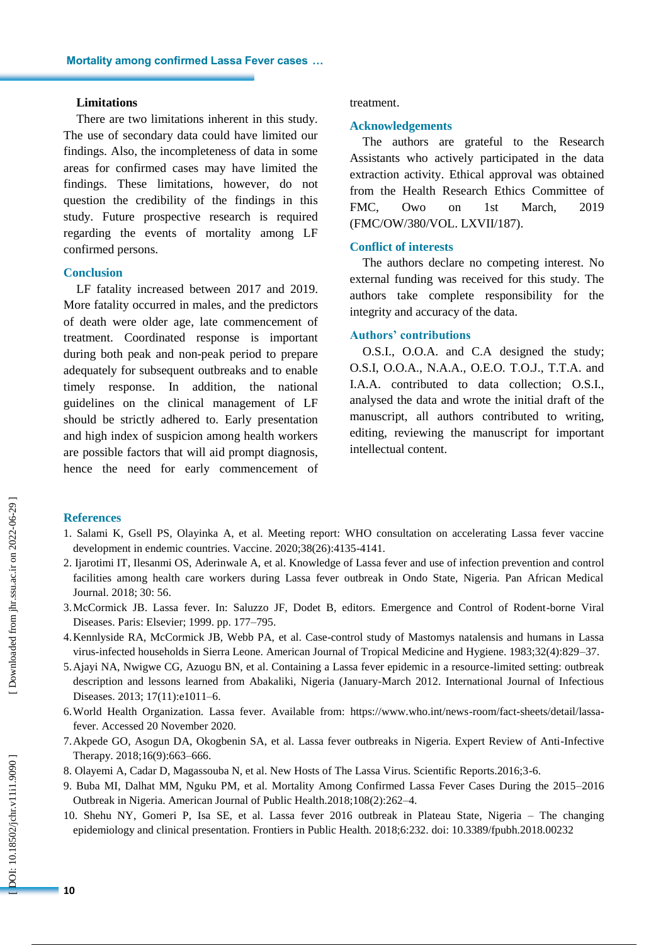#### **Limitations**

There are two limitations inherent in this study. The use of secondary data could have limited our findings. Also, the incompleteness of data in some areas for confirmed cases may have limited the findings. These limitations, however , do not question the credibility of the findings in this study. Future prospective research is required regarding the events of mortality among LF confirmed persons.

#### **Conclusion**

LF fatality increased between 2017 and 2019. More fatality occurred in males, and the predictors of death were older age , late commencement of treatment . Coordinated response is important during both peak and non -peak period to prepare adequately for subsequent outbreaks and to enable timely response. In addition, the national guidelines on the clinical management of LF should be strictly adhered to. Early presentation and high index of suspicion among health workers are possible factors that will aid prompt diagnosis , hence the need for early commencement of

#### treatment.

#### **Acknowledgements**

The authors are grateful to the Research Assistants who actively participated in the data extraction activity. Ethical approval was obtained from the Health Research Ethics Committee of FMC, Owo on 1st March, 2019 (FMC/OW/380/VOL. LXVII/187).

#### **Conflict of interests**

The authors declare no competing interest. No external funding was received for this study. The authors take complete responsibility for the integrity and accuracy of the data.

#### **Authors' contributions**

O.S.I . , O.O.A. and C.A designed the study; O.S.I, O.O.A., N.A.A., O.E.O. T.O.J., T.T.A. and I.A.A. contributed to data collection; O.S.I., analysed the data and wrote the initial draft of the manuscript, all authors contributed to writing, editing, reviewing the manuscript for important intellectual content.

## **References**

- 1. Salami K, Gsell PS, Olayinka A, et al. Meeting report: WHO consultation on accelerating Lassa fever vaccine development in endemic countries. Vaccine. 2020;38(26):4135 -4141.
- 2. Ijarotimi IT, Ilesanmi OS, Aderinwale A, et al. Knowledge of Lassa fever and use of infection prevention and control facilities among health care workers during Lassa fever outbreak in Ondo State, Nigeria. Pan African Medical Journal. 2018; 30: 56.
- 3.McCormick JB. Lassa fever. In: Saluzzo JF, Dodet B, editors. Emergence and Control of Rodent -borne Viral Diseases. Paris: Elsevier; 1999. pp. 177 –795.
- 4.Kennlyside RA, McCormick JB, Webb PA, et al. Case -control study of Mastomys natalensis and humans in Lassa virus -infected households in Sierra Leone. American Journal of Tropical Medicine and Hygiene. 1983;32(4):829 –37.
- 5.Ajayi NA, Nwigwe CG, Azuogu BN, et al. Containing a Lassa fever epidemic in a resource -limited setting: outbreak description and lessons learned from Abakaliki, Nigeria (January -March 2012. International Journal of Infectious Diseases. 2013; 17(11):e1011 –6.
- 6.World Health Organization. Lassa fever. Available from: https://www.who.int/news -room/fact -sheets/detail/lassa fever. Accessed 20 November 2020.
- 7.Akpede GO, Asogun DA, Okogbenin SA, et al. Lassa fever outbreaks in Nigeria. Expert Review of Anti -Infective Therapy. 2018;16(9):663 –666.
- 8. Olayemi A, Cadar D, Magassouba N, et al. New Hosts of The Lassa Virus. Scientific Reports.2016;3 -6.
- 9. Buba MI, Dalhat MM, Nguku PM, et al. Mortality Among Confirmed Lassa Fever Cases During the 2015 –2016 Outbreak in Nigeria. American Journal of Public Health.2018;108(2):262 –4.
- 10. Shehu NY, Gomeri P, Isa SE, et al. Lassa fever 2016 outbreak in Plateau State, Nigeria The changing epidemiology and clinical presentation. Frontiers in Public Health *.* 2018;6:232. doi: 10.3389/fpubh.2018.00232